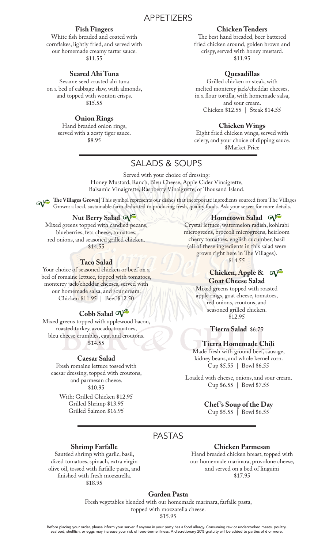# APPETIZERS

## **Fish Fingers**

White fish breaded and coated with cornflakes, lightly fried, and served with our homemade creamy tartar sauce. \$11.55

## **Seared Ahi Tuna**

Sesame seed crusted ahi tuna on a bed of cabbage slaw, with almonds, and topped with wonton crisps. \$15.55

## **Onion Rings**

Hand breaded onion rings, served with a zesty tiger sauce. \$8.95

## **Chicken Tenders**

The best hand breaded, beer battered fried chicken around, golden brown and crispy, served with honey mustard. \$11.95

## **Quesadillas**

Grilled chicken or steak, with melted monterey jack/cheddar cheeses, in a flour tortilla, with homemade salsa, and sour cream. Chicken \$12.55 | Steak \$14.55

#### **Chicken Wings**

Eight fried chicken wings, served with celery, and your choice of dipping sauce. \$Market Price

# SALADS & SOUPS

Served with your choice of dressing: Honey Mustard, Ranch, Bleu Cheese, Apple Cider Vinaigrette, Balsamic Vinaigrette, Raspberry Vinaigrette, or Thousand Island.

The Villages Grown| This symbol represents our dishes that incorporate ingredients sourced from The Villages Grown: a local, sustainable farm dedicated to producing fresh, quality foods. Ask your server for more details.

## **Nut Berry Salad**

Mixed greens topped with candied pecans, blueberries, feta cheese, tomatoes, red onions, and seasoned grilled chicken. \$14.55

## **Taco Salad**

Your choice of seasoned chicken or beef on a bed of romaine lettuce, topped with tomatoes, monterey jack/cheddar cheeses, served with our homemade salsa, and sour cream. Chicken \$11.95 | Beef \$12.50

# **Cobb Salad**

Mixed greens topped with applewood bacon, roasted turkey, avocado, tomatoes, bleu cheese crumbles, egg, and croutons. \$14.55

#### **Caesar Salad**

Fresh romaine lettuce tossed with caesar dressing, topped with croutons, and parmesan cheese. \$10.95 With: Grilled Chicken \$12.95

> Grilled Shrimp \$13.95 Grilled Salmon \$16.95

Hometown Salad  $\alpha$ <sup>2</sup>

Crystal lettuce, watermelon radish, kohlrabi microgreens, broccoli microgreens, heirloom cherry tomatoes, english cucumber, basil (all of these ingredients in this salad were grown right here in The Villages). \$14.55

**Chicken, Apple &** 

### **Goat Cheese Salad**

Mixed greens topped with roasted apple rings, goat cheese, tomatoes, red onions, croutons, and seasoned grilled chicken. \$12.95

**Tierra Salad** \$6.75

#### **Tierra Homemade Chili**

Made fresh with ground beef, sausage, kidney beans, and whole kernel corn. Cup \$5.55 | Bowl \$6.55

Loaded with cheese, onions, and sour cream. Cup \$6.55 | Bowl \$7.55

### **Chef 's Soup of the Day**

Cup \$5.55 | Bowl \$6.55

## PASTAS

#### **Shrimp Farfalle**

Sautéed shrimp with garlic, basil, diced tomatoes, spinach, extra virgin olive oil, tossed with farfalle pasta, and finished with fresh mozzarella. \$18.95

## **Chicken Parmesan**

Hand breaded chicken breast, topped with our homemade marinara, provolone cheese, and served on a bed of linguini \$17.95

**Garden Pasta**

Fresh vegetables blended with our homemade marinara, farfalle pasta, topped with mozzarella cheese. \$15.95